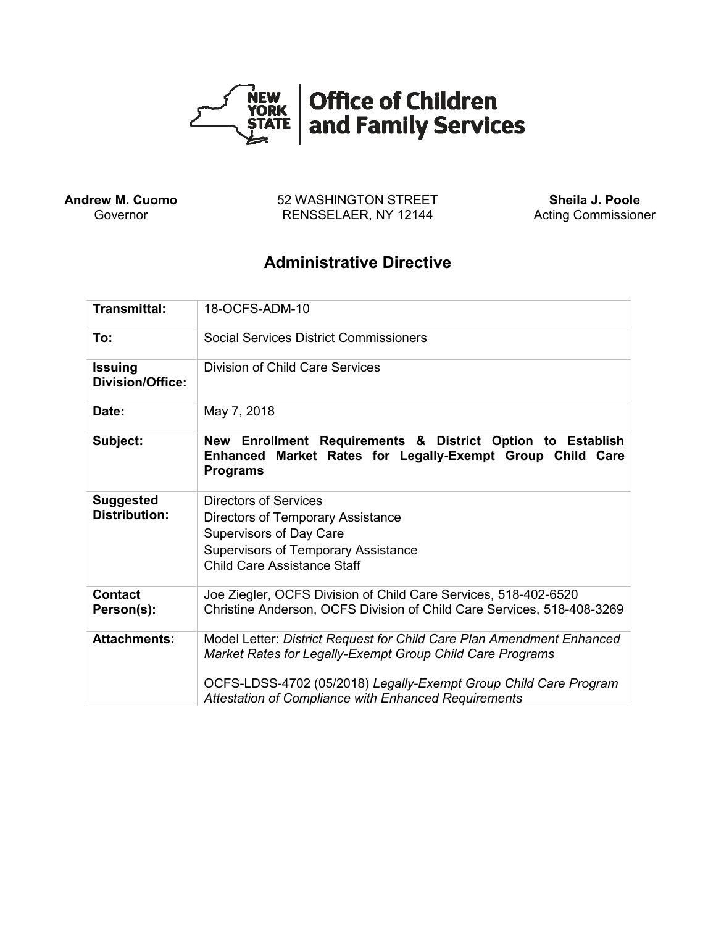

**Andrew M. Cuomo** Governor

52 WASHINGTON STREET RENSSELAER, NY 12144

**Sheila J. Poole** Acting Commissioner

# **Administrative Directive**

| <b>Transmittal:</b>                       | 18-OCFS-ADM-10                                                                                                                                                                                                                                                        |
|-------------------------------------------|-----------------------------------------------------------------------------------------------------------------------------------------------------------------------------------------------------------------------------------------------------------------------|
| To:                                       | <b>Social Services District Commissioners</b>                                                                                                                                                                                                                         |
| <b>Issuing</b><br><b>Division/Office:</b> | Division of Child Care Services                                                                                                                                                                                                                                       |
| Date:                                     | May 7, 2018                                                                                                                                                                                                                                                           |
| Subject:                                  | New Enrollment Requirements & District Option to Establish<br>Enhanced Market Rates for Legally-Exempt Group Child Care<br><b>Programs</b>                                                                                                                            |
| <b>Suggested</b><br><b>Distribution:</b>  | Directors of Services<br>Directors of Temporary Assistance<br>Supervisors of Day Care<br>Supervisors of Temporary Assistance<br><b>Child Care Assistance Staff</b>                                                                                                    |
| <b>Contact</b><br>Person(s):              | Joe Ziegler, OCFS Division of Child Care Services, 518-402-6520<br>Christine Anderson, OCFS Division of Child Care Services, 518-408-3269                                                                                                                             |
| <b>Attachments:</b>                       | Model Letter: District Request for Child Care Plan Amendment Enhanced<br>Market Rates for Legally-Exempt Group Child Care Programs<br>OCFS-LDSS-4702 (05/2018) Legally-Exempt Group Child Care Program<br><b>Attestation of Compliance with Enhanced Requirements</b> |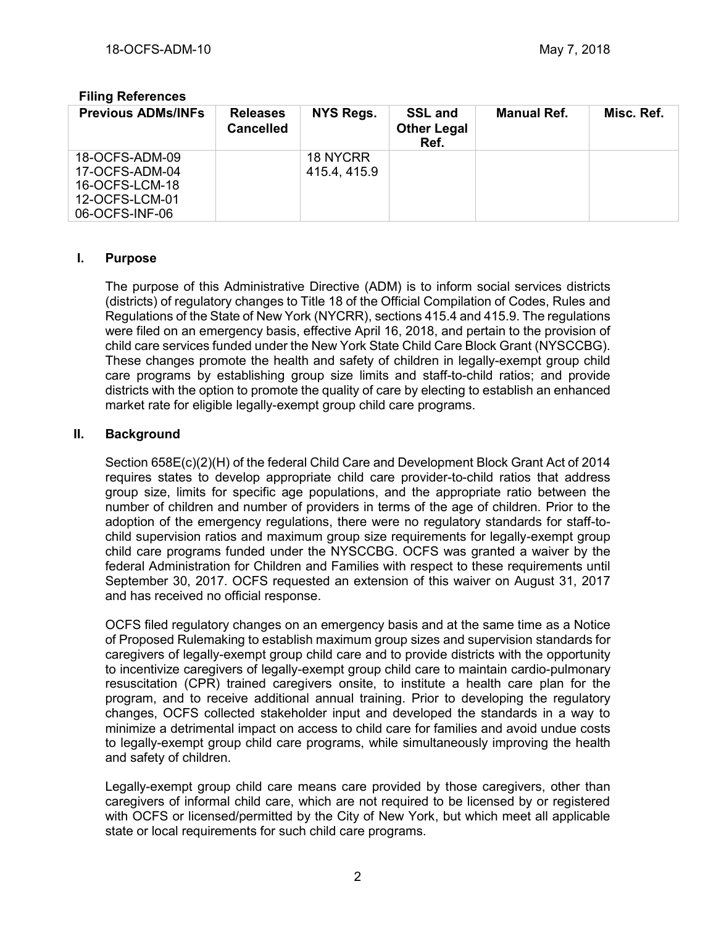# **Filing References**

| <b>Previous ADMs/INFs</b> | <b>Releases</b><br><b>Cancelled</b> | <b>NYS Regs.</b> | <b>SSL and</b><br><b>Other Legal</b><br>Ref. | <b>Manual Ref.</b> | Misc. Ref. |
|---------------------------|-------------------------------------|------------------|----------------------------------------------|--------------------|------------|
| 18-OCFS-ADM-09            |                                     | 18 NYCRR         |                                              |                    |            |
| 17-OCFS-ADM-04            |                                     | 415.4, 415.9     |                                              |                    |            |
| 16-OCFS-LCM-18            |                                     |                  |                                              |                    |            |
| 12-OCFS-LCM-01            |                                     |                  |                                              |                    |            |
| 06-OCFS-INF-06            |                                     |                  |                                              |                    |            |

## **I. Purpose**

The purpose of this Administrative Directive (ADM) is to inform social services districts (districts) of regulatory changes to Title 18 of the Official Compilation of Codes, Rules and Regulations of the State of New York (NYCRR), sections 415.4 and 415.9. The regulations were filed on an emergency basis, effective April 16, 2018, and pertain to the provision of child care services funded under the New York State Child Care Block Grant (NYSCCBG). These changes promote the health and safety of children in legally-exempt group child care programs by establishing group size limits and staff-to-child ratios; and provide districts with the option to promote the quality of care by electing to establish an enhanced market rate for eligible legally-exempt group child care programs.

## **II. Background**

Section 658E(c)(2)(H) of the federal Child Care and Development Block Grant Act of 2014 requires states to develop appropriate child care provider-to-child ratios that address group size, limits for specific age populations, and the appropriate ratio between the number of children and number of providers in terms of the age of children. Prior to the adoption of the emergency regulations, there were no regulatory standards for staff-tochild supervision ratios and maximum group size requirements for legally-exempt group child care programs funded under the NYSCCBG. OCFS was granted a waiver by the federal Administration for Children and Families with respect to these requirements until September 30, 2017. OCFS requested an extension of this waiver on August 31, 2017 and has received no official response.

OCFS filed regulatory changes on an emergency basis and at the same time as a Notice of Proposed Rulemaking to establish maximum group sizes and supervision standards for caregivers of legally-exempt group child care and to provide districts with the opportunity to incentivize caregivers of legally-exempt group child care to maintain cardio-pulmonary resuscitation (CPR) trained caregivers onsite, to institute a health care plan for the program, and to receive additional annual training. Prior to developing the regulatory changes, OCFS collected stakeholder input and developed the standards in a way to minimize a detrimental impact on access to child care for families and avoid undue costs to legally-exempt group child care programs, while simultaneously improving the health and safety of children.

Legally-exempt group child care means care provided by those caregivers, other than caregivers of informal child care, which are not required to be licensed by or registered with OCFS or licensed/permitted by the City of New York, but which meet all applicable state or local requirements for such child care programs.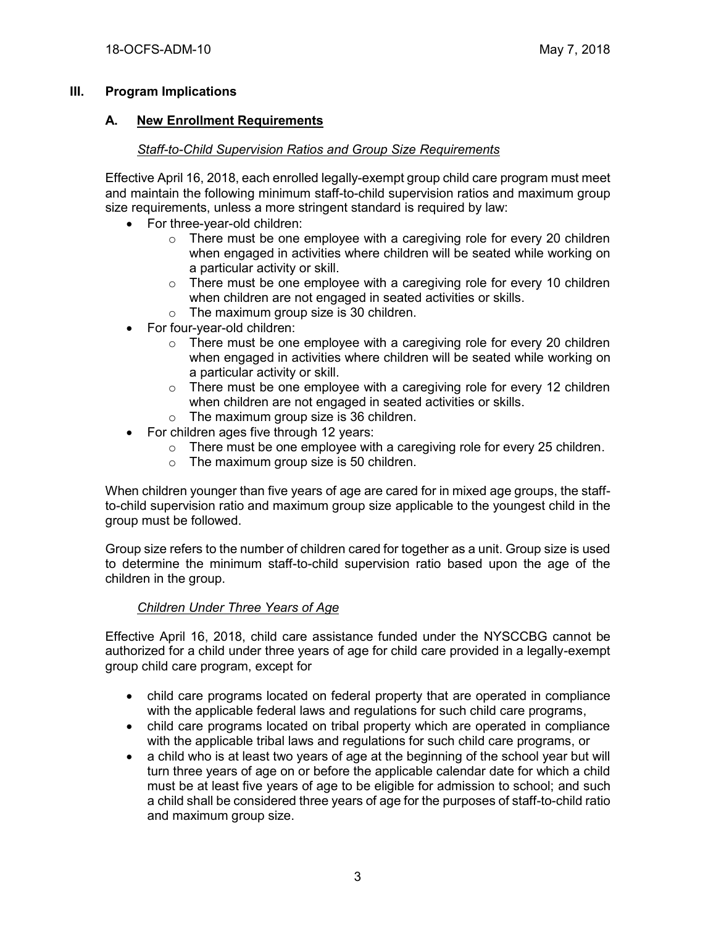## **III. Program Implications**

### **A. New Enrollment Requirements**

# *Staff-to-Child Supervision Ratios and Group Size Requirements*

Effective April 16, 2018, each enrolled legally-exempt group child care program must meet and maintain the following minimum staff-to-child supervision ratios and maximum group size requirements, unless a more stringent standard is required by law:

- For three-year-old children:
	- $\circ$  There must be one employee with a caregiving role for every 20 children when engaged in activities where children will be seated while working on a particular activity or skill.
	- $\circ$  There must be one employee with a caregiving role for every 10 children when children are not engaged in seated activities or skills.
	- o The maximum group size is 30 children.
- For four-year-old children:
	- $\circ$  There must be one employee with a caregiving role for every 20 children when engaged in activities where children will be seated while working on a particular activity or skill.
	- $\circ$  There must be one employee with a caregiving role for every 12 children when children are not engaged in seated activities or skills.
	- o The maximum group size is 36 children.
- For children ages five through 12 years:
	- $\circ$  There must be one employee with a caregiving role for every 25 children.
	- $\circ$  The maximum group size is 50 children.

When children younger than five years of age are cared for in mixed age groups, the staffto-child supervision ratio and maximum group size applicable to the youngest child in the group must be followed.

Group size refers to the number of children cared for together as a unit. Group size is used to determine the minimum staff-to-child supervision ratio based upon the age of the children in the group.

# *Children Under Three Years of Age*

Effective April 16, 2018, child care assistance funded under the NYSCCBG cannot be authorized for a child under three years of age for child care provided in a legally-exempt group child care program, except for

- child care programs located on federal property that are operated in compliance with the applicable federal laws and regulations for such child care programs,
- child care programs located on tribal property which are operated in compliance with the applicable tribal laws and regulations for such child care programs, or
- a child who is at least two years of age at the beginning of the school year but will turn three years of age on or before the applicable calendar date for which a child must be at least five years of age to be eligible for admission to school; and such a child shall be considered three years of age for the purposes of staff-to-child ratio and maximum group size.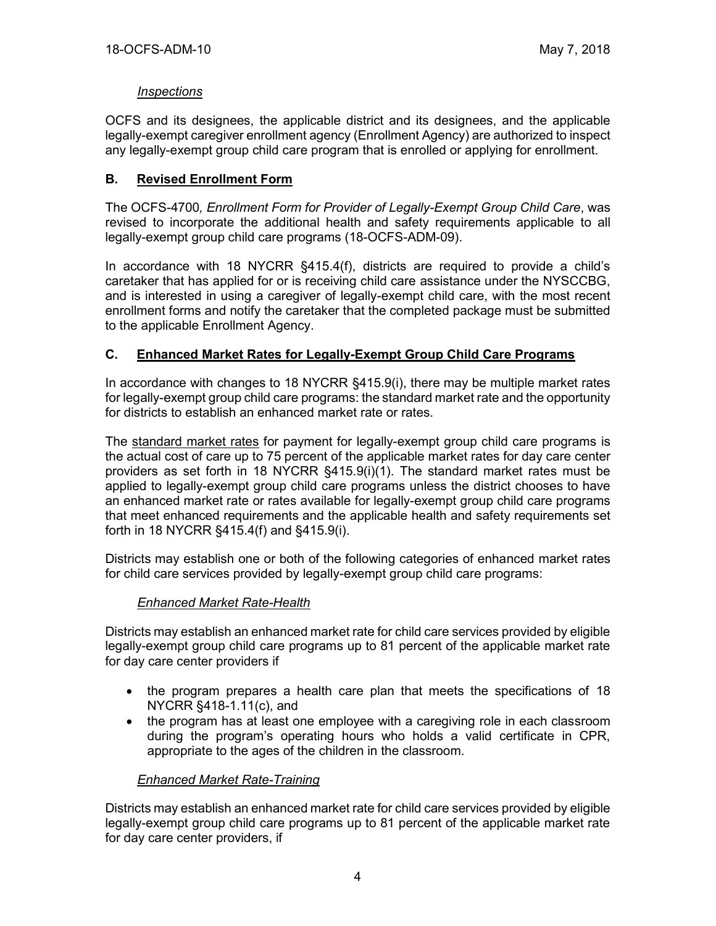#### *Inspections*

OCFS and its designees, the applicable district and its designees, and the applicable legally-exempt caregiver enrollment agency (Enrollment Agency) are authorized to inspect any legally-exempt group child care program that is enrolled or applying for enrollment.

# **B. Revised Enrollment Form**

The OCFS-4700*, Enrollment Form for Provider of Legally-Exempt Group Child Care*, was revised to incorporate the additional health and safety requirements applicable to all legally-exempt group child care programs (18-OCFS-ADM-09).

In accordance with 18 NYCRR §415.4(f), districts are required to provide a child's caretaker that has applied for or is receiving child care assistance under the NYSCCBG, and is interested in using a caregiver of legally-exempt child care, with the most recent enrollment forms and notify the caretaker that the completed package must be submitted to the applicable Enrollment Agency.

## **C. Enhanced Market Rates for Legally-Exempt Group Child Care Programs**

In accordance with changes to 18 NYCRR §415.9(i), there may be multiple market rates for legally-exempt group child care programs: the standard market rate and the opportunity for districts to establish an enhanced market rate or rates.

The standard market rates for payment for legally-exempt group child care programs is the actual cost of care up to 75 percent of the applicable market rates for day care center providers as set forth in 18 NYCRR §415.9(i)(1). The standard market rates must be applied to legally-exempt group child care programs unless the district chooses to have an enhanced market rate or rates available for legally-exempt group child care programs that meet enhanced requirements and the applicable health and safety requirements set forth in 18 NYCRR §415.4(f) and §415.9(i).

Districts may establish one or both of the following categories of enhanced market rates for child care services provided by legally-exempt group child care programs:

#### *Enhanced Market Rate-Health*

Districts may establish an enhanced market rate for child care services provided by eligible legally-exempt group child care programs up to 81 percent of the applicable market rate for day care center providers if

- the program prepares a health care plan that meets the specifications of 18 NYCRR §418-1.11(c), and
- the program has at least one employee with a caregiving role in each classroom during the program's operating hours who holds a valid certificate in CPR, appropriate to the ages of the children in the classroom.

#### *Enhanced Market Rate-Training*

Districts may establish an enhanced market rate for child care services provided by eligible legally-exempt group child care programs up to 81 percent of the applicable market rate for day care center providers, if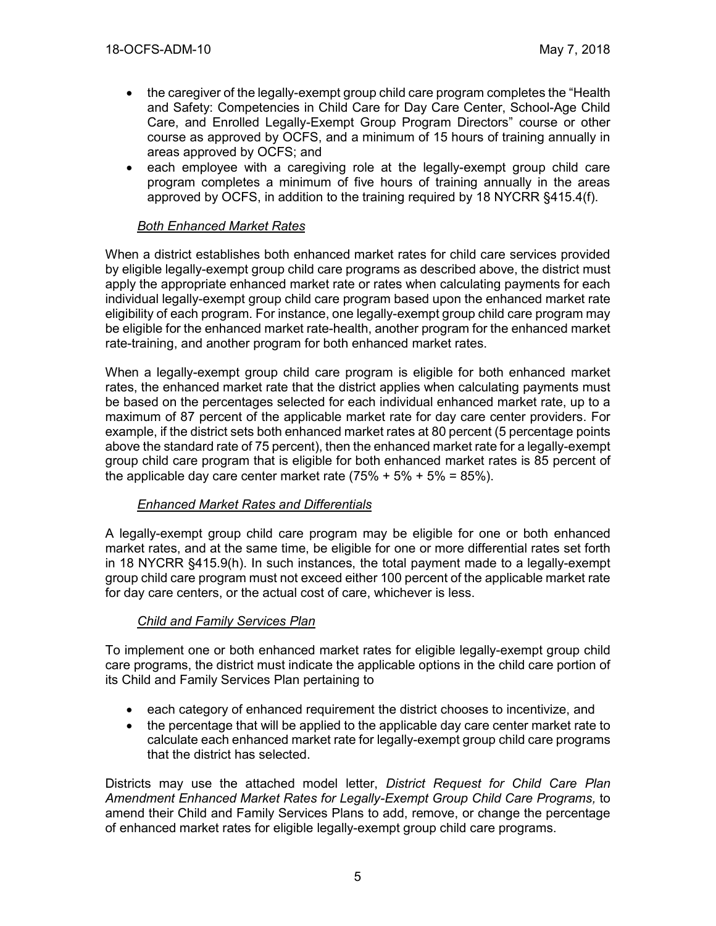- the caregiver of the legally-exempt group child care program completes the "Health" and Safety: Competencies in Child Care for Day Care Center, School-Age Child Care, and Enrolled Legally-Exempt Group Program Directors" course or other course as approved by OCFS, and a minimum of 15 hours of training annually in areas approved by OCFS; and
- each employee with a caregiving role at the legally-exempt group child care program completes a minimum of five hours of training annually in the areas approved by OCFS, in addition to the training required by 18 NYCRR §415.4(f).

#### *Both Enhanced Market Rates*

When a district establishes both enhanced market rates for child care services provided by eligible legally-exempt group child care programs as described above, the district must apply the appropriate enhanced market rate or rates when calculating payments for each individual legally-exempt group child care program based upon the enhanced market rate eligibility of each program. For instance, one legally-exempt group child care program may be eligible for the enhanced market rate-health, another program for the enhanced market rate-training, and another program for both enhanced market rates.

When a legally-exempt group child care program is eligible for both enhanced market rates, the enhanced market rate that the district applies when calculating payments must be based on the percentages selected for each individual enhanced market rate, up to a maximum of 87 percent of the applicable market rate for day care center providers. For example, if the district sets both enhanced market rates at 80 percent (5 percentage points above the standard rate of 75 percent), then the enhanced market rate for a legally-exempt group child care program that is eligible for both enhanced market rates is 85 percent of the applicable day care center market rate  $(75\% + 5\% + 5\% = 85\%).$ 

#### *Enhanced Market Rates and Differentials*

A legally-exempt group child care program may be eligible for one or both enhanced market rates, and at the same time, be eligible for one or more differential rates set forth in 18 NYCRR §415.9(h). In such instances, the total payment made to a legally-exempt group child care program must not exceed either 100 percent of the applicable market rate for day care centers, or the actual cost of care, whichever is less.

#### *Child and Family Services Plan*

To implement one or both enhanced market rates for eligible legally-exempt group child care programs, the district must indicate the applicable options in the child care portion of its Child and Family Services Plan pertaining to

- each category of enhanced requirement the district chooses to incentivize, and
- the percentage that will be applied to the applicable day care center market rate to calculate each enhanced market rate for legally-exempt group child care programs that the district has selected.

Districts may use the attached model letter, *District Request for Child Care Plan Amendment Enhanced Market Rates for Legally-Exempt Group Child Care Programs,* to amend their Child and Family Services Plans to add, remove, or change the percentage of enhanced market rates for eligible legally-exempt group child care programs.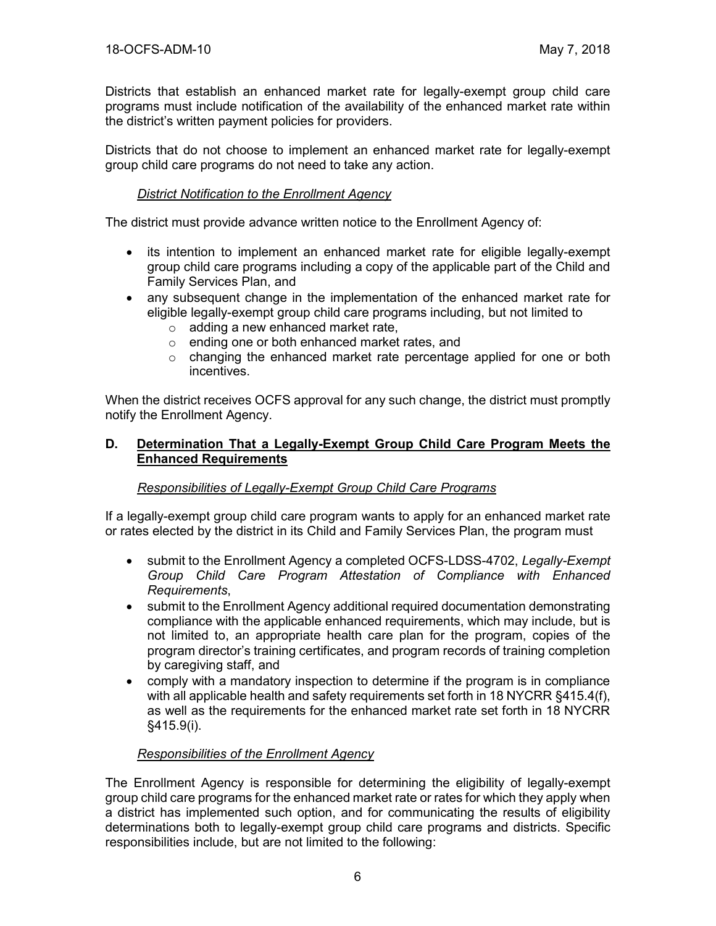Districts that establish an enhanced market rate for legally-exempt group child care programs must include notification of the availability of the enhanced market rate within the district's written payment policies for providers.

Districts that do not choose to implement an enhanced market rate for legally-exempt group child care programs do not need to take any action.

#### *District Notification to the Enrollment Agency*

The district must provide advance written notice to the Enrollment Agency of:

- its intention to implement an enhanced market rate for eligible legally-exempt group child care programs including a copy of the applicable part of the Child and Family Services Plan, and
- any subsequent change in the implementation of the enhanced market rate for eligible legally-exempt group child care programs including, but not limited to
	- o adding a new enhanced market rate,
	- o ending one or both enhanced market rates, and
	- $\circ$  changing the enhanced market rate percentage applied for one or both incentives.

When the district receives OCFS approval for any such change, the district must promptly notify the Enrollment Agency.

#### **D. Determination That a Legally-Exempt Group Child Care Program Meets the Enhanced Requirements**

# *Responsibilities of Legally-Exempt Group Child Care Programs*

If a legally-exempt group child care program wants to apply for an enhanced market rate or rates elected by the district in its Child and Family Services Plan, the program must

- submit to the Enrollment Agency a completed OCFS-LDSS-4702, *Legally-Exempt Group Child Care Program Attestation of Compliance with Enhanced Requirements*,
- submit to the Enrollment Agency additional required documentation demonstrating compliance with the applicable enhanced requirements, which may include, but is not limited to, an appropriate health care plan for the program, copies of the program director's training certificates, and program records of training completion by caregiving staff, and
- comply with a mandatory inspection to determine if the program is in compliance with all applicable health and safety requirements set forth in 18 NYCRR §415.4(f), as well as the requirements for the enhanced market rate set forth in 18 NYCRR §415.9(i).

#### *Responsibilities of the Enrollment Agency*

The Enrollment Agency is responsible for determining the eligibility of legally-exempt group child care programs for the enhanced market rate or rates for which they apply when a district has implemented such option, and for communicating the results of eligibility determinations both to legally-exempt group child care programs and districts. Specific responsibilities include, but are not limited to the following: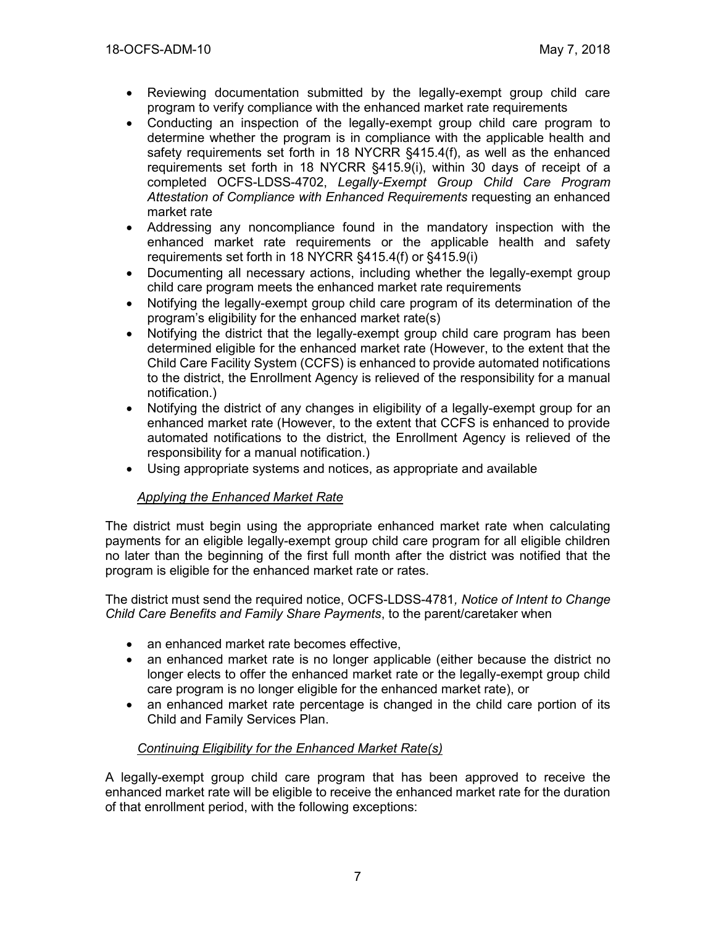- Reviewing documentation submitted by the legally-exempt group child care program to verify compliance with the enhanced market rate requirements
- Conducting an inspection of the legally-exempt group child care program to determine whether the program is in compliance with the applicable health and safety requirements set forth in 18 NYCRR §415.4(f), as well as the enhanced requirements set forth in 18 NYCRR §415.9(i), within 30 days of receipt of a completed OCFS-LDSS-4702, *Legally-Exempt Group Child Care Program Attestation of Compliance with Enhanced Requirements* requesting an enhanced market rate
- Addressing any noncompliance found in the mandatory inspection with the enhanced market rate requirements or the applicable health and safety requirements set forth in 18 NYCRR §415.4(f) or §415.9(i)
- Documenting all necessary actions, including whether the legally-exempt group child care program meets the enhanced market rate requirements
- Notifying the legally-exempt group child care program of its determination of the program's eligibility for the enhanced market rate(s)
- Notifying the district that the legally-exempt group child care program has been determined eligible for the enhanced market rate (However, to the extent that the Child Care Facility System (CCFS) is enhanced to provide automated notifications to the district, the Enrollment Agency is relieved of the responsibility for a manual notification.)
- Notifying the district of any changes in eligibility of a legally-exempt group for an enhanced market rate (However, to the extent that CCFS is enhanced to provide automated notifications to the district, the Enrollment Agency is relieved of the responsibility for a manual notification.)
- Using appropriate systems and notices, as appropriate and available

# *Applying the Enhanced Market Rate*

The district must begin using the appropriate enhanced market rate when calculating payments for an eligible legally-exempt group child care program for all eligible children no later than the beginning of the first full month after the district was notified that the program is eligible for the enhanced market rate or rates.

The district must send the required notice, OCFS-LDSS-4781*, Notice of Intent to Change Child Care Benefits and Family Share Payments*, to the parent/caretaker when

- an enhanced market rate becomes effective,
- an enhanced market rate is no longer applicable (either because the district no longer elects to offer the enhanced market rate or the legally-exempt group child care program is no longer eligible for the enhanced market rate), or
- an enhanced market rate percentage is changed in the child care portion of its Child and Family Services Plan.

# *Continuing Eligibility for the Enhanced Market Rate(s)*

A legally-exempt group child care program that has been approved to receive the enhanced market rate will be eligible to receive the enhanced market rate for the duration of that enrollment period, with the following exceptions: